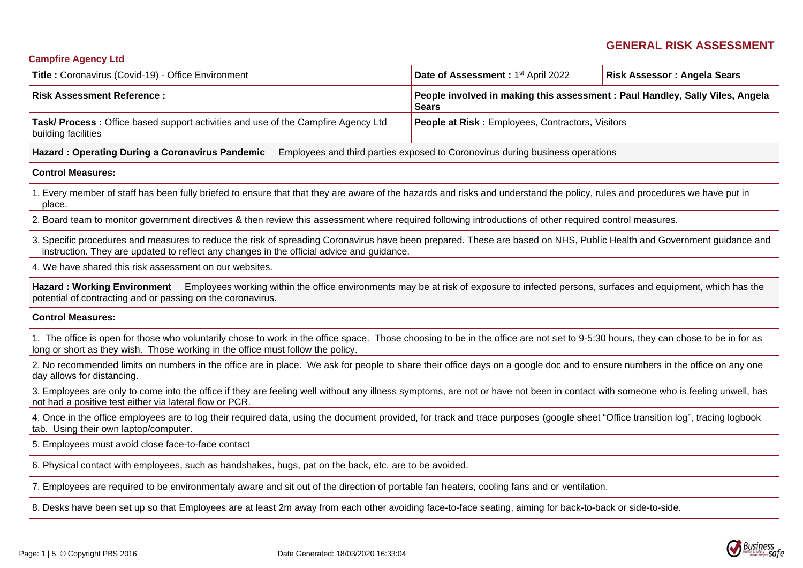# **GENERAL RISK ASSESSMENT**

| <b>Campfire Agency Ltd</b>                                                                                                                                                                                                                                           |                                                                               |                                                                               |  |  |  |  |
|----------------------------------------------------------------------------------------------------------------------------------------------------------------------------------------------------------------------------------------------------------------------|-------------------------------------------------------------------------------|-------------------------------------------------------------------------------|--|--|--|--|
| Title: Coronavirus (Covid-19) - Office Environment                                                                                                                                                                                                                   | Date of Assessment: 1 <sup>st</sup> April 2022                                | <b>Risk Assessor: Angela Sears</b>                                            |  |  |  |  |
| <b>Risk Assessment Reference:</b>                                                                                                                                                                                                                                    | <b>Sears</b>                                                                  | People involved in making this assessment : Paul Handley, Sally Viles, Angela |  |  |  |  |
| Task/ Process : Office based support activities and use of the Campfire Agency Ltd<br>building facilities                                                                                                                                                            | People at Risk: Employees, Contractors, Visitors                              |                                                                               |  |  |  |  |
| <b>Hazard: Operating During a Coronavirus Pandemic</b>                                                                                                                                                                                                               | Employees and third parties exposed to Coronovirus during business operations |                                                                               |  |  |  |  |
| <b>Control Measures:</b>                                                                                                                                                                                                                                             |                                                                               |                                                                               |  |  |  |  |
| 1. Every member of staff has been fully briefed to ensure that that they are aware of the hazards and risks and understand the policy, rules and procedures we have put in<br>place.                                                                                 |                                                                               |                                                                               |  |  |  |  |
| 2. Board team to monitor government directives & then review this assessment where required following introductions of other required control measures.                                                                                                              |                                                                               |                                                                               |  |  |  |  |
| 3. Specific procedures and measures to reduce the risk of spreading Coronavirus have been prepared. These are based on NHS, Public Health and Government guidance and<br>instruction. They are updated to reflect any changes in the official advice and guidance.   |                                                                               |                                                                               |  |  |  |  |
| 4. We have shared this risk assessment on our websites.                                                                                                                                                                                                              |                                                                               |                                                                               |  |  |  |  |
| Hazard : Working Environment Employees working within the office environments may be at risk of exposure to infected persons, surfaces and equipment, which has the<br>potential of contracting and or passing on the coronavirus.                                   |                                                                               |                                                                               |  |  |  |  |
| <b>Control Measures:</b>                                                                                                                                                                                                                                             |                                                                               |                                                                               |  |  |  |  |
| 1. The office is open for those who voluntarily chose to work in the office space. Those choosing to be in the office are not set to 9-5:30 hours, they can chose to be in for as<br>long or short as they wish. Those working in the office must follow the policy. |                                                                               |                                                                               |  |  |  |  |
| 2. No recommended limits on numbers in the office are in place. We ask for people to share their office days on a google doc and to ensure numbers in the office on any one<br>day allows for distancing.                                                            |                                                                               |                                                                               |  |  |  |  |
| 3. Employees are only to come into the office if they are feeling well without any illness symptoms, are not or have not been in contact with someone who is feeling unwell, has<br>not had a positive test either via lateral flow or PCR.                          |                                                                               |                                                                               |  |  |  |  |
| 4. Once in the office employees are to log their required data, using the document provided, for track and trace purposes (google sheet "Office transition log", tracing logbook<br>tab. Using their own laptop/computer.                                            |                                                                               |                                                                               |  |  |  |  |
| 5. Employees must avoid close face-to-face contact                                                                                                                                                                                                                   |                                                                               |                                                                               |  |  |  |  |
| 6. Physical contact with employees, such as handshakes, hugs, pat on the back, etc. are to be avoided.                                                                                                                                                               |                                                                               |                                                                               |  |  |  |  |
| 7. Employees are required to be environmentaly aware and sit out of the direction of portable fan heaters, cooling fans and or ventilation.                                                                                                                          |                                                                               |                                                                               |  |  |  |  |
| 8. Desks have been set up so that Employees are at least 2m away from each other avoiding face-to-face seating, aiming for back-to-back or side-to-side.                                                                                                             |                                                                               |                                                                               |  |  |  |  |
|                                                                                                                                                                                                                                                                      |                                                                               |                                                                               |  |  |  |  |

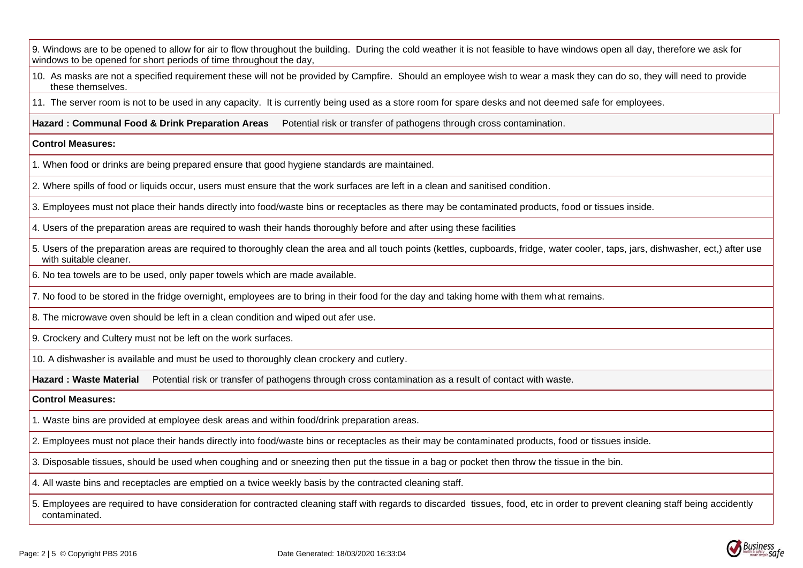9. Windows are to be opened to allow for air to flow throughout the building. During the cold weather it is not feasible to have windows open all day, therefore we ask for windows to be opened for short periods of time throughout the day,

10. As masks are not a specified requirement these will not be provided by Campfire. Should an employee wish to wear a mask they can do so, they will need to provide these themselves.

11. The server room is not to be used in any capacity. It is currently being used as a store room for spare desks and not deemed safe for employees.

**Hazard : Communal Food & Drink Preparation Areas** Potential risk or transfer of pathogens through cross contamination.

#### **Control Measures:**

- 1. When food or drinks are being prepared ensure that good hygiene standards are maintained.
- 2. Where spills of food or liquids occur, users must ensure that the work surfaces are left in a clean and sanitised condition.

3. Employees must not place their hands directly into food/waste bins or receptacles as there may be contaminated products, food or tissues inside.

- 4. Users of the preparation areas are required to wash their hands thoroughly before and after using these facilities
- 5. Users of the preparation areas are required to thoroughly clean the area and all touch points (kettles, cupboards, fridge, water cooler, taps, jars, dishwasher, ect,) after use with suitable cleaner.
- 6. No tea towels are to be used, only paper towels which are made available.
- 7. No food to be stored in the fridge overnight, employees are to bring in their food for the day and taking home with them what remains.
- 8. The microwave oven should be left in a clean condition and wiped out afer use.
- 9. Crockery and Cultery must not be left on the work surfaces.

10. A dishwasher is available and must be used to thoroughly clean crockery and cutlery.

**Hazard : Waste Material** Potential risk or transfer of pathogens through cross contamination as a result of contact with waste.

# **Control Measures:**

- 1. Waste bins are provided at employee desk areas and within food/drink preparation areas.
- 2. Employees must not place their hands directly into food/waste bins or receptacles as their may be contaminated products, food or tissues inside.
- 3. Disposable tissues, should be used when coughing and or sneezing then put the tissue in a bag or pocket then throw the tissue in the bin.
- 4. All waste bins and receptacles are emptied on a twice weekly basis by the contracted cleaning staff.

5. Employees are required to have consideration for contracted cleaning staff with regards to discarded tissues, food, etc in order to prevent cleaning staff being accidently contaminated.

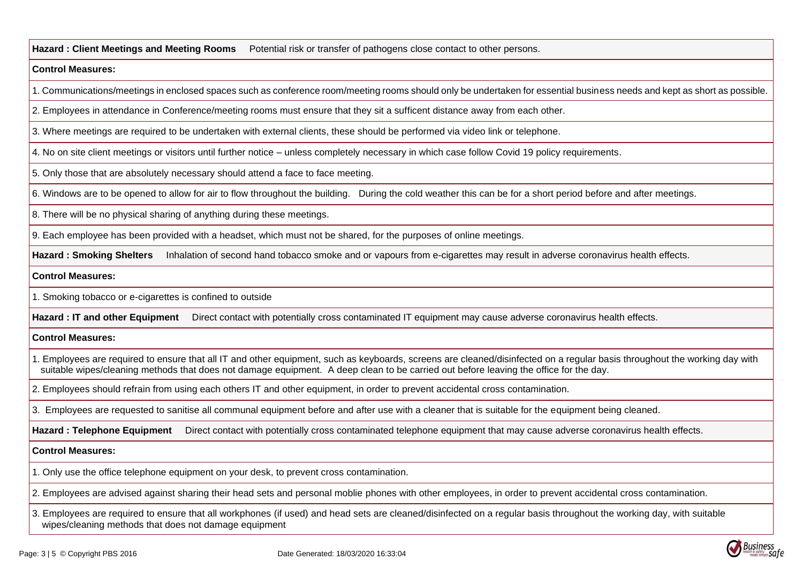**Hazard : Client Meetings and Meeting Rooms** Potential risk or transfer of pathogens close contact to other persons.

## **Control Measures:**

1. Communications/meetings in enclosed spaces such as conference room/meeting rooms should only be undertaken for essential business needs and kept as short as possible.

2. Employees in attendance in Conference/meeting rooms must ensure that they sit a sufficent distance away from each other.

3. Where meetings are required to be undertaken with external clients, these should be performed via video link or telephone.

4. No on site client meetings or visitors until further notice – unless completely necessary in which case follow Covid 19 policy requirements.

5. Only those that are absolutely necessary should attend a face to face meeting.

6. Windows are to be opened to allow for air to flow throughout the building. During the cold weather this can be for a short period before and after meetings.

8. There will be no physical sharing of anything during these meetings.

9. Each employee has been provided with a headset, which must not be shared, for the purposes of online meetings.

**Hazard : Smoking Shelters** Inhalation of second hand tobacco smoke and or vapours from e-cigarettes may result in adverse coronavirus health effects.

# **Control Measures:**

1. Smoking tobacco or e-cigarettes is confined to outside

**Hazard : IT and other Equipment** Direct contact with potentially cross contaminated IT equipment may cause adverse coronavirus health effects.

**Control Measures:**

1. Employees are required to ensure that all IT and other equipment, such as keyboards, screens are cleaned/disinfected on a regular basis throughout the working day with suitable wipes/cleaning methods that does not damage equipment. A deep clean to be carried out before leaving the office for the day.

2. Employees should refrain from using each others IT and other equipment, in order to prevent accidental cross contamination.

3. Employees are requested to sanitise all communal equipment before and after use with a cleaner that is suitable for the equipment being cleaned.

Hazard : Telephone Equipment Direct contact with potentially cross contaminated telephone equipment that may cause adverse coronavirus health effects.

# **Control Measures:**

1. Only use the office telephone equipment on your desk, to prevent cross contamination.

2. Employees are advised against sharing their head sets and personal moblie phones with other employees, in order to prevent accidental cross contamination.

3. Employees are required to ensure that all workphones (if used) and head sets are cleaned/disinfected on a regular basis throughout the working day, with suitable wipes/cleaning methods that does not damage equipment

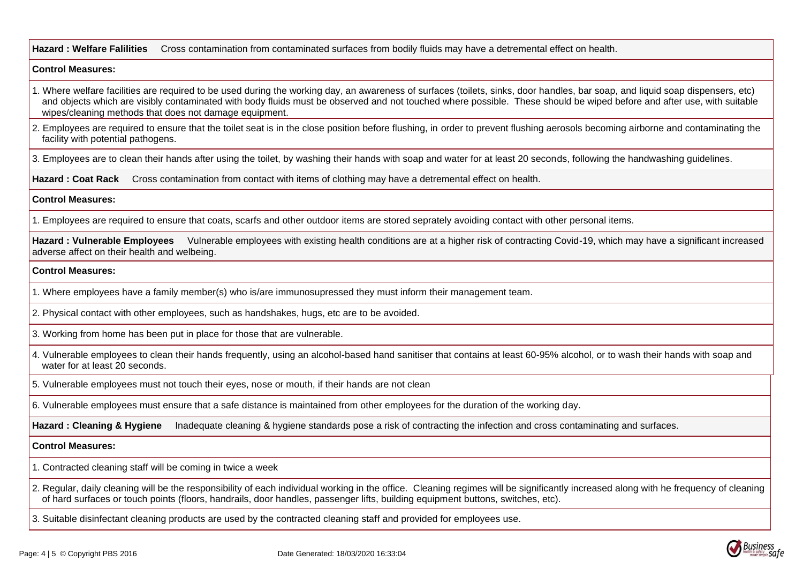Hazard : Welfare Falilities Cross contamination from contaminated surfaces from bodily fluids may have a detremental effect on health.

### **Control Measures:**

- 1. Where welfare facilities are required to be used during the working day, an awareness of surfaces (toilets, sinks, door handles, bar soap, and liquid soap dispensers, etc) and objects which are visibly contaminated with body fluids must be observed and not touched where possible. These should be wiped before and after use, with suitable wipes/cleaning methods that does not damage equipment.
- 2. Employees are required to ensure that the toilet seat is in the close position before flushing, in order to prevent flushing aerosols becoming airborne and contaminating the facility with potential pathogens.

3. Employees are to clean their hands after using the toilet, by washing their hands with soap and water for at least 20 seconds, following the handwashing guidelines.

**Hazard : Coat Rack** Cross contamination from contact with items of clothing may have a detremental effect on health.

#### **Control Measures:**

1. Employees are required to ensure that coats, scarfs and other outdoor items are stored seprately avoiding contact with other personal items.

Hazard : Vulnerable Employees Vulnerable employees with existing health conditions are at a higher risk of contracting Covid-19, which may have a significant increased adverse affect on their health and welbeing.

## **Control Measures:**

- 1. Where employees have a family member(s) who is/are immunosupressed they must inform their management team.
- 2. Physical contact with other employees, such as handshakes, hugs, etc are to be avoided.

3. Working from home has been put in place for those that are vulnerable.

- 4. Vulnerable employees to clean their hands frequently, using an alcohol-based hand sanitiser that contains at least 60-95% alcohol, or to wash their hands with soap and water for at least 20 seconds.
- 5. Vulnerable employees must not touch their eyes, nose or mouth, if their hands are not clean
- 6. Vulnerable employees must ensure that a safe distance is maintained from other employees for the duration of the working day.

**Hazard : Cleaning & Hygiene** Inadequate cleaning & hygiene standards pose a risk of contracting the infection and cross contaminating and surfaces.

#### **Control Measures:**

- 1. Contracted cleaning staff will be coming in twice a week
- 2. Regular, daily cleaning will be the responsibility of each individual working in the office. Cleaning regimes will be significantly increased along with he frequency of cleaning of hard surfaces or touch points (floors, handrails, door handles, passenger lifts, building equipment buttons, switches, etc).
- 3. Suitable disinfectant cleaning products are used by the contracted cleaning staff and provided for employees use.